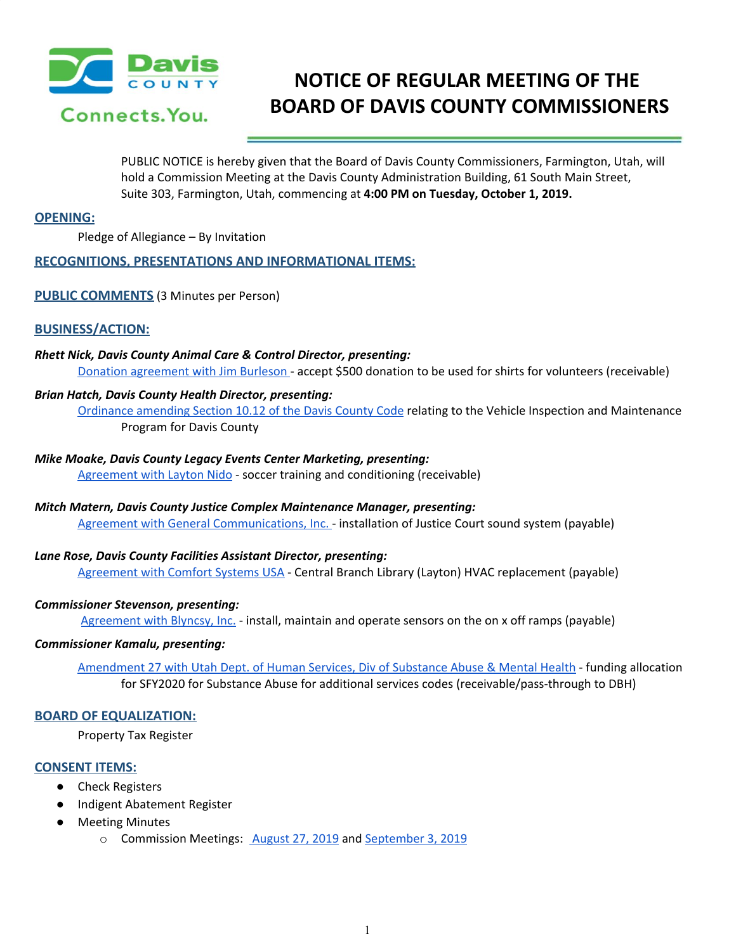

# **NOTICE OF REGULAR MEETING OF THE BOARD OF DAVIS COUNTY COMMISSIONERS**

PUBLIC NOTICE is hereby given that the Board of Davis County Commissioners, Farmington, Utah, will hold a Commission Meeting at the Davis County Administration Building, 61 South Main Street, Suite 303, Farmington, Utah, commencing at **4:00 PM on Tuesday, October 1, 2019.**

## **OPENING:**

Pledge of Allegiance – By Invitation

# **RECOGNITIONS, PRESENTATIONS AND INFORMATIONAL ITEMS:**

### **PUBLIC COMMENTS** (3 Minutes per Person)

# **BUSINESS/ACTION:**

# *Rhett Nick, Davis County Animal Care & Control Director, presenting:*

Donation [agreement](https://drive.google.com/a/co.davis.ut.us/file/d/1BFtFtKMpv6rjUa6BO9DViOHe60FJ3tzN/view?usp=drivesdk) with Jim Burleson - accept \$500 donation to be used for shirts for volunteers (receivable)

#### *Brian Hatch, Davis County Health Director, presenting:*

[Ordinance](https://drive.google.com/a/co.davis.ut.us/file/d/1jCHvJ7RgzAQQDkJohzQvHBOR7wuo3nLY/view?usp=drivesdk) amending Section 10.12 of the Davis County Code relating to the Vehicle Inspection and Maintenance Program for Davis County

#### *Mike Moake, Davis County Legacy Events Center Marketing, presenting:*

[Agreement](https://drive.google.com/a/co.davis.ut.us/file/d/1Y9Z6k-M2YPg0bzzM9ldoCa9e7KI7CVl9/view?usp=drivesdk) with Layton Nido - soccer training and conditioning (receivable)

#### *Mitch Matern, Davis County Justice Complex Maintenance Manager, presenting:*

Agreement with General [Communications,](https://drive.google.com/a/co.davis.ut.us/file/d/1rXBY09XKbXWFTpIJE79akjKz2S8J7U3k/view?usp=drivesdk) Inc. - installation of Justice Court sound system (payable)

#### *Lane Rose, Davis County Facilities Assistant Director, presenting:*

[Agreement](https://drive.google.com/a/co.davis.ut.us/file/d/12TcT6LSENI7j1Vt1QgWK1SVtdK7L1g0-/view?usp=drivesdk) with Comfort Systems USA - Central Branch Library (Layton) HVAC replacement (payable)

#### *Commissioner Stevenson, presenting:*

[Agreement](https://drive.google.com/a/co.davis.ut.us/file/d/1CdZRhpcevUaSeZWxsx1lfxgG5tj_SE9m/view?usp=drivesdk) with Blyncsy, Inc. - install, maintain and operate sensors on the on x off ramps (payable)

#### *Commissioner Kamalu, presenting:*

[Amendment](https://drive.google.com/a/co.davis.ut.us/file/d/1ZNMVQJpp0Le7_eoGl2l_mD5OohUYXpkv/view?usp=drivesdk) 27 with Utah Dept. of Human Services, Div of Substance Abuse & Mental Health - funding allocation for SFY2020 for Substance Abuse for additional services codes (receivable/pass-through to DBH)

# **BOARD OF EQUALIZATION:**

Property Tax Register

#### **CONSENT ITEMS:**

- Check Registers
- Indigent Abatement Register
- Meeting Minutes
	- o Commission Meetings: [August](https://drive.google.com/a/co.davis.ut.us/file/d/1Ob1lp70SVS45RExbWVUYj1RDAeu3CqXv/view?usp=drivesdk) 27, 2019 and [September](https://drive.google.com/a/co.davis.ut.us/file/d/1v4JFE555g_7u44i91DEkWz3m9iJg1o9J/view?usp=drivesdk) 3, 2019